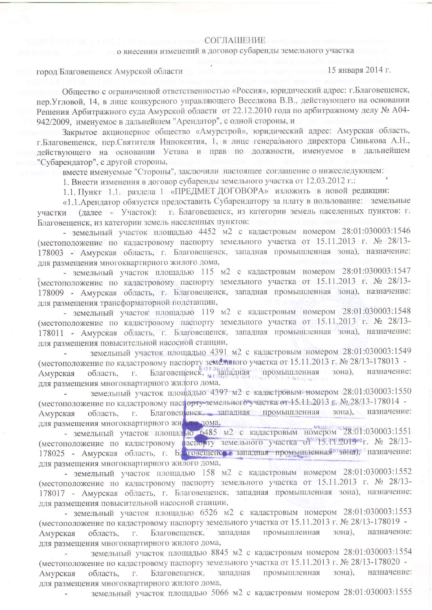## СОГЛАШЕНИЕ

## о внесении изменений в договор субаренды земельного участка

## город Благовещенск Амурской области

 $15$  января 2014 г.

Общество с ограниченной ответственностью «Россия», юридический адрес: г. Благовещенск, пер. Угловой, 14, в лице конкурсного управляющего Веселкова В.В., действующего на основании Решения Арбитражного суда Амурской области от 22.12.2010 года по арбитражному делу № А04-942/2009, именуемое в дальнейшем "Арендатор", с одной стороны, и

Закрытое акционерное общество «Амурстрой», юридический адрес: Амурская область, г. Благовещенск, пер. Святителя Иннокентия, 1, в лице генерального директора Синькова А.Н., действующего на основании Устава и прав по должности, именуемое в дальнейшем "Субарендатор", с другой стороны,

вместе именуемые "Стороны", заключили настоящее соглашение о нижеследующем:

1. Внести изменения в договор субаренды земельного участка от 12.03.2012 г.:

1.1. Пункт 1.1. раздела 1 «ПРЕДМЕТ ДОГОВОРА» изложить в новой редакции:

«1.1. Арендатор обязуется предоставить Субарендатору за плату в пользование: земельные участки (далее - Участок): г. Благовещенск, из категории земель населенных пунктов: г. Благовещенск, из категории земель населенных пунктов: Влаговещенск, из категории земель населенных пунктов:

- земельный участок площадью 4452 м2 с кадастровым номером 28:01:030003:1546 (местоположение по кадастровому паспорту земельного участка от 15.11.2013 г. № 28/13-178003 - Амурская область, г. Благовещенск, западная промышленная зона), назначение: для размещения многоквартирного жилого дома,

- земельный участок площадью 115 м2 с кадастровым номером 28:01:030003:1547 (местоположение по кадастровому паспорту земельного участка от 15.11.2013 г. № 28/13-178009 - Амурская область, г. Благовещенск, западная промышленная зона), назначение: для размещения трансформаторной подстанции,

- земельный участок площадью 119 м2 с кадастровым номером 28:01:030003:1548 (местоположение по кадастровому паспорту земельного участка от 15.11.2013 г. № 28/13-178011 - Амурская область, г. Благовещенск, западная промышленная зона), назначение: для размещения повысительной насосной станции,

земельный участок площадью 4391 м2 с кадастровым номером 28:01:030003:1549 (местоположение по кадастровому паспорту земельного участка от 15.11.2013 г. № 28/13-178013 - Амурская область, г. Благовещенск, западная промышленная зона), назначение назначение: для размещения многоквартирного жилого дома,

земельный участок площадью 4397 м2 с кадастровым номером 28:01:030003:1550 (местоположение по кадастровому паспорту земельного участка от 15.11.2013 г. № 28/13-178014 -Благовещенск, западная промышленная зона), назначение: Амурская область.  $\Gamma$ . для размещения многоквартирного жителома,

- земельный участок площадью 6485 м2 с кадастровым номером 28:01:030003:1551 (местоположение по кадастровому паспорту земельного участка от 15.11.2013 г. № 28/13-178025 - Амурская область, г. Благовещенска западная промышленная зона), назначение: для размещения многоквартирного жилого дома,

- земельный участок площадью 158 м2 с кадастровым номером 28:01:030003:1552 (местоположение по кадастровому паспорту земельного участка от 15.11.2013 г. № 28/13-178017 - Амурская область, г. Благовещенск, западная промышленная зона), назначение: для размещения повысительной насосной станции,

- земельный участок площадью 6526 м2 с кадастровым номером 28:01:030003:1553 (местоположение по кадастровому паспорту земельного участка от 15.11.2013 г. № 28/13-178019 западная промышленная зона), назначение:  $\Gamma$ . Благовещенск, Амурская область, для размещения многоквартирного жилого дома,

земельный участок площадью 8845 м2 с кадастровым номером 28:01:030003:1554 (местоположение по кадастровому паспорту земельного участка от 15.11.2013 г. № 28/13-178020 промышленная зона). назначение: Благовещенск, западная Амурская область.  $\Gamma$ . для размещения многоквартирного жилого дома,

земельный участок площадью 5066 м2 с кадастровым номером 28:01:030003:1555